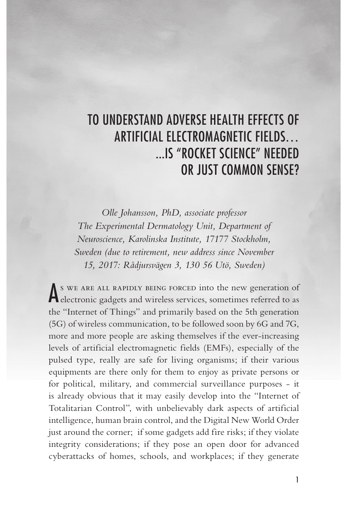# TO UNDERSTAND ADVERSE HEALTH EFFECTS OF ARTIFICIAL ELECTROMAGNETIC FIELDS… ...IS "ROCKET SCIENCE" NEEDED OR JUST COMMON SENSE?

*Olle Johansson, PhD, associate professor The Experimental Dermatology Unit, Department of Neuroscience, Karolinska Institute, 17177 Stockholm, Sweden (due to retirement, new address since November 15, 2017: Rådjursvägen 3, 130 56 Utö, Sweden)*

A S WE ARE ALL RAPIDLY BEING FORCED into the new generation of electronic gadgets and wireless services, sometimes referred to as s we are all rapidly being forced into the new generation of the "Internet of Things" and primarily based on the 5th generation (5G) of wireless communication, to be followed soon by 6G and 7G, more and more people are asking themselves if the ever-increasing levels of artificial electromagnetic fields (EMFs), especially of the pulsed type, really are safe for living organisms; if their various equipments are there only for them to enjoy as private persons or for political, military, and commercial surveillance purposes - it is already obvious that it may easily develop into the "Internet of Totalitarian Control", with unbelievably dark aspects of artificial intelligence, human brain control, and the Digital New World Order just around the corner; if some gadgets add fire risks; if they violate integrity considerations; if they pose an open door for advanced cyberattacks of homes, schools, and workplaces; if they generate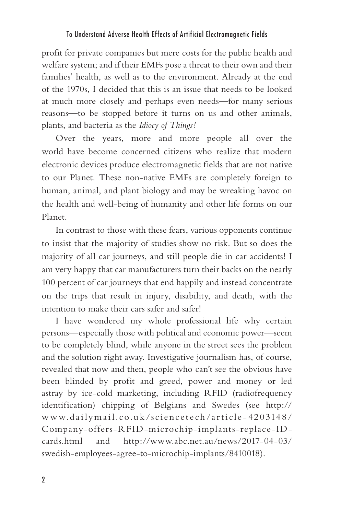profit for private companies but mere costs for the public health and welfare system; and if their EMFs pose a threat to their own and their families' health, as well as to the environment. Already at the end of the 1970s, I decided that this is an issue that needs to be looked at much more closely and perhaps even needs—for many serious reasons—to be stopped before it turns on us and other animals, plants, and bacteria as the *Idiocy of Things!*

Over the years, more and more people all over the world have become concerned citizens who realize that modern electronic devices produce electromagnetic fields that are not native to our Planet. These non-native EMFs are completely foreign to human, animal, and plant biology and may be wreaking havoc on the health and well-being of humanity and other life forms on our Planet.

In contrast to those with these fears, various opponents continue to insist that the majority of studies show no risk. But so does the majority of all car journeys, and still people die in car accidents! I am very happy that car manufacturers turn their backs on the nearly 100 percent of car journeys that end happily and instead concentrate on the trips that result in injury, disability, and death, with the intention to make their cars safer and safer!

I have wondered my whole professional life why certain persons—especially those with political and economic power—seem to be completely blind, while anyone in the street sees the problem and the solution right away. Investigative journalism has, of course, revealed that now and then, people who can't see the obvious have been blinded by profit and greed, power and money or led astray by ice-cold marketing, including RFID (radiofrequency identification) chipping of Belgians and Swedes (see http:// www.dailymail.co.uk/sciencetech/article-4203148/ Company-offers-RFID-microchip-implants-replace-IDcards.html and http://www.abc.net.au/news/2017-04-03/ swedish-employees-agree-to-microchip-implants/8410018).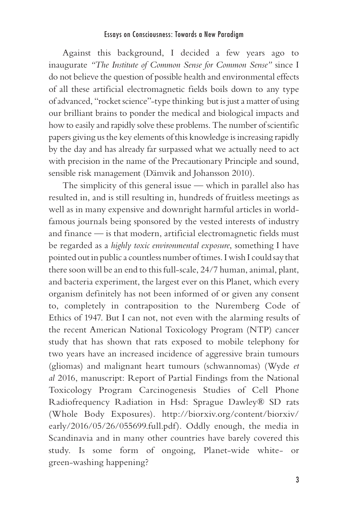Against this background, I decided a few years ago to inaugurate *"The Institute of Common Sense for Common Sense"* since I do not believe the question of possible health and environmental effects of all these artificial electromagnetic fields boils down to any type ofadvanced, "rocket science"-type thinking but is just a matter of using our brilliant brains to ponder the medical and biological impacts and how to easily and rapidly solve these problems. The number of scientific papers giving us the key elements of this knowledge is increasing rapidly by the day and has already far surpassed what we actually need to act with precision in the name of the Precautionary Principle and sound, sensible risk management (Dämvik and Johansson 2010).

The simplicity of this general issue — which in parallel also has resulted in, and is still resulting in, hundreds of fruitless meetings as well as in many expensive and downright harmful articles in worldfamous journals being sponsored by the vested interests of industry and finance — is that modern, artificial electromagnetic fields must be regarded as a *highly toxic environmental exposure*, something I have pointed out in public a countless number of times. I wish I could say that there soon will be an end to this full-scale, 24/7 human, animal, plant, and bacteria experiment, the largest ever on this Planet, which every organism definitely has not been informed of or given any consent to, completely in contraposition to the Nuremberg Code of Ethics of 1947. But I can not, not even with the alarming results of the recent American National Toxicology Program (NTP) cancer study that has shown that rats exposed to mobile telephony for two years have an increased incidence of aggressive brain tumours (gliomas) and malignant heart tumours (schwannomas) (Wyde *et al* 2016, manuscript: Report of Partial Findings from the National Toxicology Program Carcinogenesis Studies of Cell Phone Radiofrequency Radiation in Hsd: Sprague Dawley® SD rats (Whole Body Exposures). http://biorxiv.org/content/biorxiv/ early/2016/05/26/055699.full.pdf). Oddly enough, the media in Scandinavia and in many other countries have barely covered this study. Is some form of ongoing, Planet-wide white- or green-washing happening?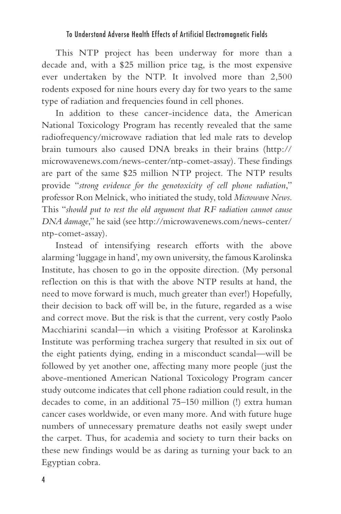This NTP project has been underway for more than a decade and, with a \$25 million price tag, is the most expensive ever undertaken by the NTP. It involved more than 2,500 rodents exposed for nine hours every day for two years to the same type of radiation and frequencies found in cell phones.

In addition to these cancer-incidence data, the American National Toxicology Program has recently revealed that the same radiofrequency/microwave radiation that led male rats to develop brain tumours also caused DNA breaks in their brains (http:// microwavenews.com/news-center/ntp-comet-assay). These findings are part of the same \$25 million NTP project. The NTP results provide "*strong evidence for the genotoxicity of cell phone radiation*," professor Ron Melnick, who initiated the study, told *Microwave News*. This "*should put to rest the old argument that RF radiation cannot cause DNA damage*," he said (see http://microwavenews.com/news-center/ ntp-comet-assay).

Instead of intensifying research efforts with the above alarming 'luggage in hand', my own university, the famous Karolinska Institute, has chosen to go in the opposite direction. (My personal reflection on this is that with the above NTP results at hand, the need to move forward is much, much greater than ever!) Hopefully, their decision to back off will be, in the future, regarded as a wise and correct move. But the risk is that the current, very costly Paolo Macchiarini scandal—in which a visiting Professor at Karolinska Institute was performing trachea surgery that resulted in six out of the eight patients dying, ending in a misconduct scandal—will be followed by yet another one, affecting many more people (just the above-mentioned American National Toxicology Program cancer study outcome indicates that cell phone radiation could result, in the decades to come, in an additional 75–150 million (!) extra human cancer cases worldwide, or even many more. And with future huge numbers of unnecessary premature deaths not easily swept under the carpet. Thus, for academia and society to turn their backs on these new findings would be as daring as turning your back to an Egyptian cobra.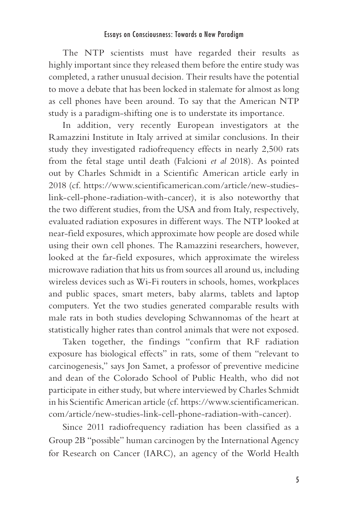The NTP scientists must have regarded their results as highly important since they released them before the entire study was completed, a rather unusual decision. Their results have the potential to move a debate that has been locked in stalemate for almost as long as cell phones have been around. To say that the American NTP study is a paradigm-shifting one is to understate its importance.

In addition, very recently European investigators at the Ramazzini Institute in Italy arrived at similar conclusions. In their study they investigated radiofrequency effects in nearly 2,500 rats from the fetal stage until death (Falcioni *et al* 2018). As pointed out by Charles Schmidt in a Scientific American article early in 2018 (cf. https://www.scientificamerican.com/article/new-studieslink-cell-phone-radiation-with-cancer), it is also noteworthy that the two different studies, from the USA and from Italy, respectively, evaluated radiation exposures in different ways. The NTP looked at near-field exposures, which approximate how people are dosed while using their own cell phones. The Ramazzini researchers, however, looked at the far-field exposures, which approximate the wireless microwave radiation that hits us from sources all around us, including wireless devices such as Wi-Fi routers in schools, homes, workplaces and public spaces, smart meters, baby alarms, tablets and laptop computers. Yet the two studies generated comparable results with male rats in both studies developing Schwannomas of the heart at statistically higher rates than control animals that were not exposed.

Taken together, the findings "confirm that RF radiation exposure has biological effects" in rats, some of them "relevant to carcinogenesis," says Jon Samet, a professor of preventive medicine and dean of the Colorado School of Public Health, who did not participate in either study, but where interviewed by Charles Schmidt in his Scientific American article (cf. https://www.scientificamerican. com/article/new-studies-link-cell-phone-radiation-with-cancer).

Since 2011 radiofrequency radiation has been classified as a Group 2B "possible" human carcinogen by the International Agency for Research on Cancer (IARC), an agency of the World Health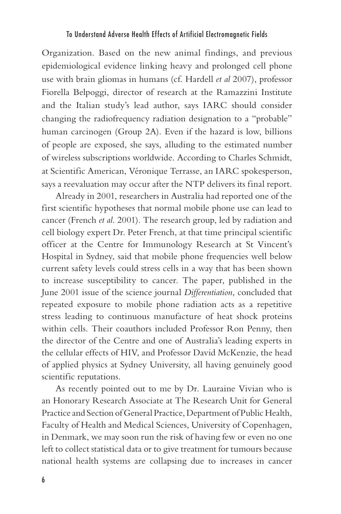Organization. Based on the new animal findings, and previous epidemiological evidence linking heavy and prolonged cell phone use with brain gliomas in humans (cf. Hardell *et al* 2007), professor Fiorella Belpoggi, director of research at the Ramazzini Institute and the Italian study's lead author, says IARC should consider changing the radiofrequency radiation designation to a "probable" human carcinogen (Group 2A). Even if the hazard is low, billions of people are exposed, she says, alluding to the estimated number of wireless subscriptions worldwide. According to Charles Schmidt, at Scientific American, Véronique Terrasse, an IARC spokesperson, says a reevaluation may occur after the NTP delivers its final report.

Already in 2001, researchers in Australia had reported one of the first scientific hypotheses that normal mobile phone use can lead to cancer (French *et al*. 2001). The research group, led by radiation and cell biology expert Dr. Peter French, at that time principal scientific officer at the Centre for Immunology Research at St Vincent's Hospital in Sydney, said that mobile phone frequencies well below current safety levels could stress cells in a way that has been shown to increase susceptibility to cancer. The paper, published in the June 2001 issue of the science journal *Differentiation*, concluded that repeated exposure to mobile phone radiation acts as a repetitive stress leading to continuous manufacture of heat shock proteins within cells. Their coauthors included Professor Ron Penny, then the director of the Centre and one of Australia's leading experts in the cellular effects of HIV, and Professor David McKenzie, the head of applied physics at Sydney University, all having genuinely good scientific reputations.

As recently pointed out to me by Dr. Lauraine Vivian who is an Honorary Research Associate at The Research Unit for General Practice and Section of General Practice, Department of Public Health, Faculty of Health and Medical Sciences, University of Copenhagen, in Denmark, we may soon run the risk of having few or even no one left to collect statistical data or to give treatment for tumours because national health systems are collapsing due to increases in cancer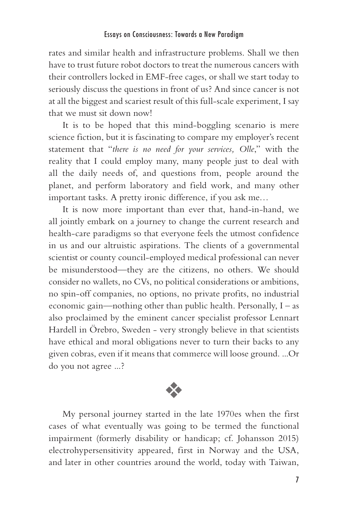rates and similar health and infrastructure problems. Shall we then have to trust future robot doctors to treat the numerous cancers with their controllers locked in EMF-free cages, or shall we start today to seriously discuss the questions in front of us? And since cancer is not at all the biggest and scariest result of this full-scale experiment, I say that we must sit down now!

It is to be hoped that this mind-boggling scenario is mere science fiction, but it is fascinating to compare my employer's recent statement that "*there is no need for your services, Olle*," with the reality that I could employ many, many people just to deal with all the daily needs of, and questions from, people around the planet, and perform laboratory and field work, and many other important tasks. A pretty ironic difference, if you ask me…

It is now more important than ever that, hand-in-hand, we all jointly embark on a journey to change the current research and health-care paradigms so that everyone feels the utmost confidence in us and our altruistic aspirations. The clients of a governmental scientist or county council-employed medical professional can never be misunderstood—they are the citizens, no others. We should consider no wallets, no CVs, no political considerations or ambitions, no spin-off companies, no options, no private profits, no industrial economic gain—nothing other than public health. Personally, I – as also proclaimed by the eminent cancer specialist professor Lennart Hardell in Örebro, Sweden - very strongly believe in that scientists have ethical and moral obligations never to turn their backs to any given cobras, even if it means that commerce will loose ground. ...Or do you not agree ...?



My personal journey started in the late 1970es when the first cases of what eventually was going to be termed the functional impairment (formerly disability or handicap; cf. Johansson 2015) electrohypersensitivity appeared, first in Norway and the USA, and later in other countries around the world, today with Taiwan,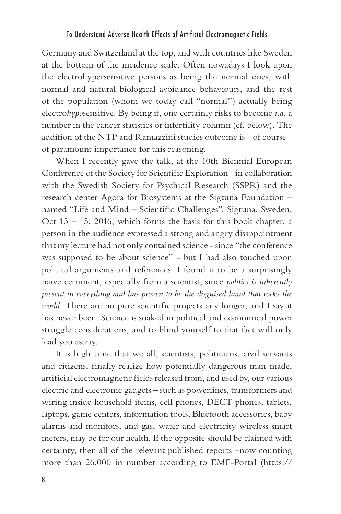Germany and Switzerland at the top, and with countries like Sweden at the bottom of the incidence scale. Often nowadays I look upon the electrohypersensitive persons as being the normal ones, with normal and natural biological avoidance behaviours, and the rest of the population (whom we today call "normal") actually being electro*hypo*sensitive. By being it, one certainly risks to become *i.a.* a number in the cancer statistics or infertility column (cf. below). The addition of the NTP and Ramazzini studies outcome is - of course of paramount importance for this reasoning.

When I recently gave the talk, at the 10th Biennial European Conference of the Society for Scientific Exploration - in collaboration with the Swedish Society for Psychical Research (SSPR) and the research center Agora for Biosystems at the Sigtuna Foundation – named "Life and Mind – Scientific Challenges", Sigtuna, Sweden, Oct 13 – 15, 2016, which forms the basis for this book chapter, a person in the audience expressed a strong and angry disappointment that my lecture had not only contained science - since "the conference was supposed to be about science" - but I had also touched upon political arguments and references. I found it to be a surprisingly naive comment, especially from a scientist, since *politics is inherently present in everything and has proven to be the disguised hand that rocks the world*. There are no pure scientific projects any longer, and I say it has never been. Science is soaked in political and economical power struggle considerations, and to blind yourself to that fact will only lead you astray.

It is high time that we all, scientists, politicians, civil servants and citizens, finally realize how potentially dangerous man-made, artificial electromagnetic fields released from, and used by, our various electric and electronic gadgets – such as powerlines, transformers and wiring inside household items, cell phones, DECT phones, tablets, laptops, game centers, information tools, Bluetooth accessories, baby alarms and monitors, and gas, water and electricity wireless smart meters, may be for our health. If the opposite should be claimed with certainty, then all of the relevant published reports –now counting more than 26,000 in number according to EMF-Portal (https://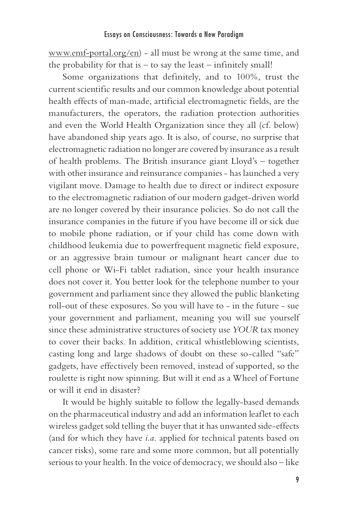www.emf-portal.org/en) - all must be wrong at the same time, and the probability for that is  $-$  to say the least  $-$  infinitely small!

Some organizations that definitely, and to 100%, trust the current scientific results and our common knowledge about potential health effects of man-made, artificial electromagnetic fields, are the manufacturers, the operators, the radiation protection authorities and even the World Health Organization since they all (cf. below) have abandoned ship years ago. It is also, of course, no surprise that electromagnetic radiation no longer are covered by insurance as a result of health problems. The British insurance giant Lloyd's – together with other insurance and reinsurance companies - has launched a very vigilant move. Damage to health due to direct or indirect exposure to the electromagnetic radiation of our modern gadget-driven world are no longer covered by their insurance policies. So do not call the insurance companies in the future if you have become ill or sick due to mobile phone radiation, or if your child has come down with childhood leukemia due to powerfrequent magnetic field exposure, or an aggressive brain tumour or malignant heart cancer due to cell phone or Wi-Fi tablet radiation, since your health insurance does not cover it. You better look for the telephone number to your government and parliament since they allowed the public blanketing roll-out of these exposures. So you will have to - in the future - sue your government and parliament, meaning you will sue yourself since these administrative structures of society use *YOUR* tax money to cover their backs. In addition, critical whistleblowing scientists, casting long and large shadows of doubt on these so-called "safe" gadgets, have effectively been removed, instead of supported, so the roulette is right now spinning. But will it end as a Wheel of Fortune or will it end in disaster?

It would be highly suitable to follow the legally-based demands on the pharmaceutical industry and add an information leaflet to each wireless gadget sold telling the buyer that it has unwanted side-effects (and for which they have *i.a.* applied for technical patents based on cancer risks), some rare and some more common, but all potentially serious to your health. In the voice of democracy, we should also – like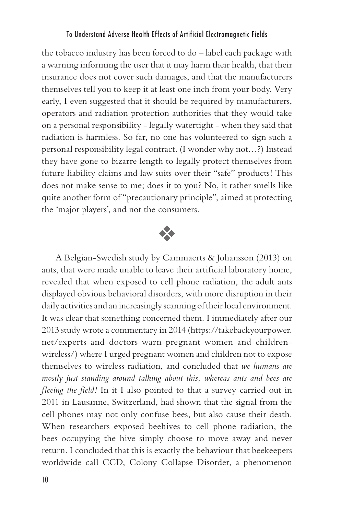the tobacco industry has been forced to do – label each package with a warning informing the user that it may harm their health, that their insurance does not cover such damages, and that the manufacturers themselves tell you to keep it at least one inch from your body. Very early, I even suggested that it should be required by manufacturers, operators and radiation protection authorities that they would take on a personal responsibility - legally watertight - when they said that radiation is harmless. So far, no one has volunteered to sign such a personal responsibility legal contract. (I wonder why not…?) Instead they have gone to bizarre length to legally protect themselves from future liability claims and law suits over their "safe" products! This does not make sense to me; does it to you? No, it rather smells like quite another form of "precautionary principle", aimed at protecting the 'major players', and not the consumers.



A Belgian-Swedish study by Cammaerts & Johansson (2013) on ants, that were made unable to leave their artificial laboratory home, revealed that when exposed to cell phone radiation, the adult ants displayed obvious behavioral disorders, with more disruption in their daily activities and an increasingly scanning of their local environment. It was clear that something concerned them. I immediately after our 2013 study wrote a commentary in 2014 (https://takebackyourpower. net/experts-and-doctors-warn-pregnant-women-and-childrenwireless/) where I urged pregnant women and children not to expose themselves to wireless radiation, and concluded that *we humans are mostly just standing around talking about this, whereas ants and bees are fleeing the field!* In it I also pointed to that a survey carried out in 2011 in Lausanne, Switzerland, had shown that the signal from the cell phones may not only confuse bees, but also cause their death. When researchers exposed beehives to cell phone radiation, the bees occupying the hive simply choose to move away and never return. I concluded that this is exactly the behaviour that beekeepers worldwide call CCD, Colony Collapse Disorder, a phenomenon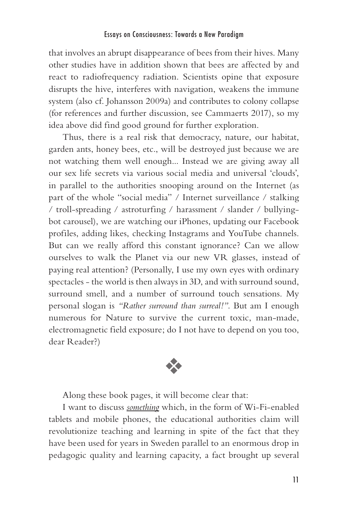that involves an abrupt disappearance of bees from their hives. Many other studies have in addition shown that bees are affected by and react to radiofrequency radiation. Scientists opine that exposure disrupts the hive, interferes with navigation, weakens the immune system (also cf. Johansson 2009a) and contributes to colony collapse (for references and further discussion, see Cammaerts 2017), so my idea above did find good ground for further exploration.

Thus, there is a real risk that democracy, nature, our habitat, garden ants, honey bees, etc., will be destroyed just because we are not watching them well enough... Instead we are giving away all our sex life secrets via various social media and universal 'clouds', in parallel to the authorities snooping around on the Internet (as part of the whole "social media" / Internet surveillance / stalking / troll-spreading / astroturfing / harassment / slander / bullyingbot carousel), we are watching our iPhones, updating our Facebook profiles, adding likes, checking Instagrams and YouTube channels. But can we really afford this constant ignorance? Can we allow ourselves to walk the Planet via our new VR glasses, instead of paying real attention? (Personally, I use my own eyes with ordinary spectacles - the world is then always in 3D, and with surround sound, surround smell, and a number of surround touch sensations. My personal slogan is *"Rather surround than surreal!"*. But am I enough numerous for Nature to survive the current toxic, man-made, electromagnetic field exposure; do I not have to depend on you too, dear Reader?)



Along these book pages, it will become clear that:

I want to discuss *something* which, in the form of Wi-Fi-enabled tablets and mobile phones, the educational authorities claim will revolutionize teaching and learning in spite of the fact that they have been used for years in Sweden parallel to an enormous drop in pedagogic quality and learning capacity, a fact brought up several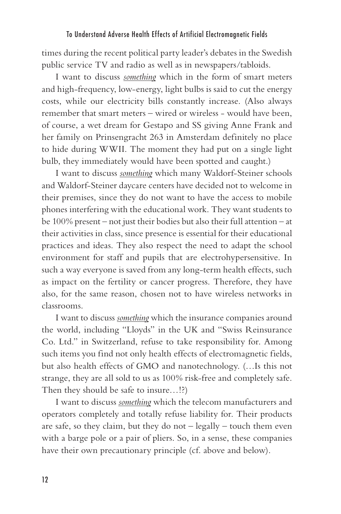times during the recent political party leader's debates in the Swedish public service TV and radio as well as in newspapers/tabloids.

I want to discuss *something* which in the form of smart meters and high-frequency, low-energy, light bulbs is said to cut the energy costs, while our electricity bills constantly increase. (Also always remember that smart meters – wired or wireless - would have been, of course, a wet dream for Gestapo and SS giving Anne Frank and her family on Prinsengracht 263 in Amsterdam definitely no place to hide during WWII. The moment they had put on a single light bulb, they immediately would have been spotted and caught.)

I want to discuss *something* which many Waldorf-Steiner schools and Waldorf-Steiner daycare centers have decided not to welcome in their premises, since they do not want to have the access to mobile phones interfering with the educational work. They want students to be 100% present – not just their bodies but also their full attention – at their activities in class, since presence is essential for their educational practices and ideas. They also respect the need to adapt the school environment for staff and pupils that are electrohypersensitive. In such a way everyone is saved from any long-term health effects, such as impact on the fertility or cancer progress. Therefore, they have also, for the same reason, chosen not to have wireless networks in classrooms.

I want to discuss *something* which the insurance companies around the world, including "Lloyds" in the UK and "Swiss Reinsurance Co. Ltd." in Switzerland, refuse to take responsibility for. Among such items you find not only health effects of electromagnetic fields, but also health effects of GMO and nanotechnology. (…Is this not strange, they are all sold to us as 100% risk-free and completely safe. Then they should be safe to insure…!?)

I want to discuss *something* which the telecom manufacturers and operators completely and totally refuse liability for. Their products are safe, so they claim, but they do not – legally – touch them even with a barge pole or a pair of pliers. So, in a sense, these companies have their own precautionary principle (cf. above and below).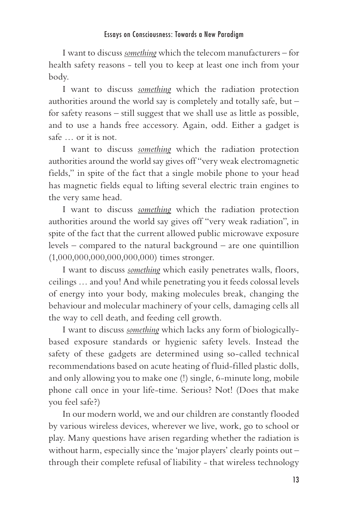I want to discuss *something* which the telecom manufacturers – for health safety reasons - tell you to keep at least one inch from your body.

I want to discuss *something* which the radiation protection authorities around the world say is completely and totally safe, but – for safety reasons – still suggest that we shall use as little as possible, and to use a hands free accessory. Again, odd. Either a gadget is safe … or it is not.

I want to discuss *something* which the radiation protection authorities around the world say gives off "very weak electromagnetic fields," in spite of the fact that a single mobile phone to your head has magnetic fields equal to lifting several electric train engines to the very same head.

I want to discuss *something* which the radiation protection authorities around the world say gives off "very weak radiation", in spite of the fact that the current allowed public microwave exposure levels – compared to the natural background – are one quintillion (1,000,000,000,000,000,000) times stronger.

I want to discuss *something* which easily penetrates walls, floors, ceilings … and you! And while penetrating you it feeds colossal levels of energy into your body, making molecules break, changing the behaviour and molecular machinery of your cells, damaging cells all the way to cell death, and feeding cell growth.

I want to discuss *something* which lacks any form of biologicallybased exposure standards or hygienic safety levels. Instead the safety of these gadgets are determined using so-called technical recommendations based on acute heating of fluid-filled plastic dolls, and only allowing you to make one (!) single, 6-minute long, mobile phone call once in your life-time. Serious? Not! (Does that make you feel safe?)

In our modern world, we and our children are constantly flooded by various wireless devices, wherever we live, work, go to school or play. Many questions have arisen regarding whether the radiation is without harm, especially since the 'major players' clearly points out – through their complete refusal of liability - that wireless technology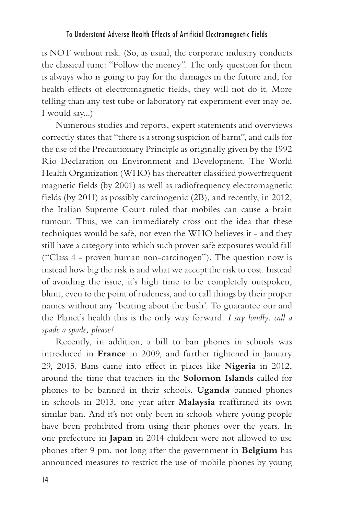is NOT without risk. (So, as usual, the corporate industry conducts the classical tune: "Follow the money". The only question for them is always who is going to pay for the damages in the future and, for health effects of electromagnetic fields, they will not do it. More telling than any test tube or laboratory rat experiment ever may be, I would say...)

Numerous studies and reports, expert statements and overviews correctly states that "there is a strong suspicion of harm", and calls for the use of the Precautionary Principle as originally given by the 1992 Rio Declaration on Environment and Development. The World Health Organization (WHO) has thereafter classified powerfrequent magnetic fields (by 2001) as well as radiofrequency electromagnetic fields (by 2011) as possibly carcinogenic (2B), and recently, in 2012, the Italian Supreme Court ruled that mobiles can cause a brain tumour. Thus, we can immediately cross out the idea that these techniques would be safe, not even the WHO believes it - and they still have a category into which such proven safe exposures would fall ("Class 4 - proven human non-carcinogen"). The question now is instead how big the risk is and what we accept the risk to cost. Instead of avoiding the issue, it's high time to be completely outspoken, blunt, even to the point of rudeness, and to call things by their proper names without any 'beating about the bush'. To guarantee our and the Planet's health this is the only way forward. *I say loudly: call a spade a spade, please!*

Recently, in addition, a bill to ban phones in schools was introduced in **France** in 2009, and further tightened in January 29, 2015. Bans came into effect in places like **Nigeria** in 2012, around the time that teachers in the **Solomon Islands** called for phones to be banned in their schools. **Uganda** banned phones in schools in 2013, one year after **Malaysia** reaffirmed its own similar ban. And it's not only been in schools where young people have been prohibited from using their phones over the years. In one prefecture in **Japan** in 2014 children were not allowed to use phones after 9 pm, not long after the government in **Belgium** has announced measures to restrict the use of mobile phones by young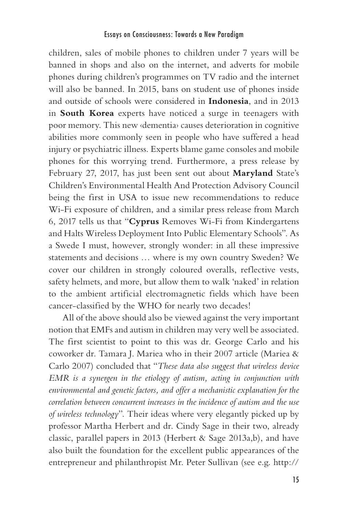children, sales of mobile phones to children under 7 years will be banned in shops and also on the internet, and adverts for mobile phones during children's programmes on TV radio and the internet will also be banned. In 2015, bans on student use of phones inside and outside of schools were considered in **Indonesia**, and in 2013 in **South Korea** experts have noticed a surge in teenagers with poor memory. This new ‹dementia› causes deterioration in cognitive abilities more commonly seen in people who have suffered a head injury or psychiatric illness. Experts blame game consoles and mobile phones for this worrying trend. Furthermore, a press release by February 27, 2017, has just been sent out about **Maryland** State's Children's Environmental Health And Protection Advisory Council being the first in USA to issue new recommendations to reduce Wi-Fi exposure of children, and a similar press release from March 6, 2017 tells us that "**Cyprus** Removes Wi-Fi from Kindergartens and Halts Wireless Deployment Into Public Elementary Schools". As a Swede I must, however, strongly wonder: in all these impressive statements and decisions … where is my own country Sweden? We cover our children in strongly coloured overalls, reflective vests, safety helmets, and more, but allow them to walk 'naked' in relation to the ambient artificial electromagnetic fields which have been cancer-classified by the WHO for nearly two decades!

All of the above should also be viewed against the very important notion that EMFs and autism in children may very well be associated. The first scientist to point to this was dr. George Carlo and his coworker dr. Tamara J. Mariea who in their 2007 article (Mariea & Carlo 2007) concluded that "*These data also suggest that wireless device EMR is a synergen in the etiology of autism, acting in conjunction with environmental and genetic factors, and offer a mechanistic explanation for the correlation between concurrent increases in the incidence of autism and the use of wireless technology*". Their ideas where very elegantly picked up by professor Martha Herbert and dr. Cindy Sage in their two, already classic, parallel papers in 2013 (Herbert & Sage 2013a,b), and have also built the foundation for the excellent public appearances of the entrepreneur and philanthropist Mr. Peter Sullivan (see e.g. http://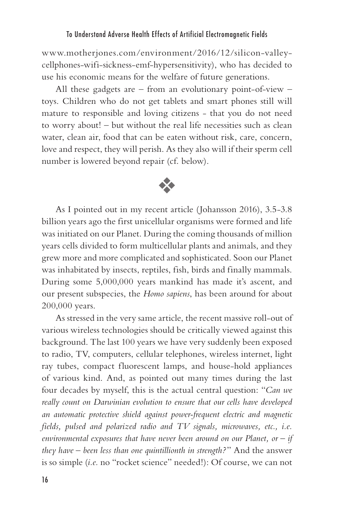www.motherjones.com/environment/2016/12/silicon-valleycellphones-wifi-sickness-emf-hypersensitivity), who has decided to use his economic means for the welfare of future generations.

All these gadgets are – from an evolutionary point-of-view – toys. Children who do not get tablets and smart phones still will mature to responsible and loving citizens - that you do not need to worry about! – but without the real life necessities such as clean water, clean air, food that can be eaten without risk, care, concern, love and respect, they will perish. As they also will if their sperm cell number is lowered beyond repair (cf. below).



As I pointed out in my recent article (Johansson 2016), 3.5-3.8 billion years ago the first unicellular organisms were formed and life was initiated on our Planet. During the coming thousands of million years cells divided to form multicellular plants and animals, and they grew more and more complicated and sophisticated. Soon our Planet was inhabitated by insects, reptiles, fish, birds and finally mammals. During some 5,000,000 years mankind has made it's ascent, and our present subspecies, the *Homo sapiens*, has been around for about 200,000 years.

As stressed in the very same article, the recent massive roll-out of various wireless technologies should be critically viewed against this background. The last 100 years we have very suddenly been exposed to radio, TV, computers, cellular telephones, wireless internet, light ray tubes, compact fluorescent lamps, and house-hold appliances of various kind. And, as pointed out many times during the last four decades by myself, this is the actual central question: "*Can we really count on Darwinian evolution to ensure that our cells have developed an automatic protective shield against power-frequent electric and magnetic fields, pulsed and polarized radio and TV signals, microwaves, etc., i.e. environmental exposures that have never been around on our Planet, or*  $-i f$ *they have – been less than one quintillionth in strength?*" And the answer is so simple (*i.e.* no "rocket science" needed!): Of course, we can not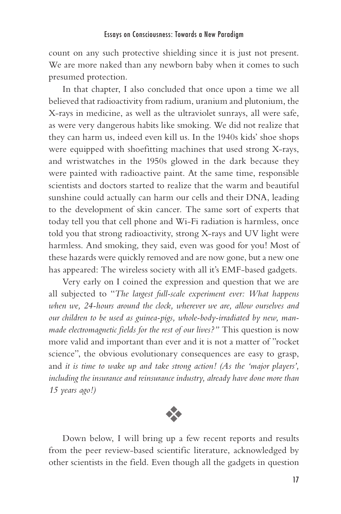count on any such protective shielding since it is just not present. We are more naked than any newborn baby when it comes to such presumed protection.

In that chapter, I also concluded that once upon a time we all believed that radioactivity from radium, uranium and plutonium, the X-rays in medicine, as well as the ultraviolet sunrays, all were safe, as were very dangerous habits like smoking. We did not realize that they can harm us, indeed even kill us. In the 1940s kids' shoe shops were equipped with shoefitting machines that used strong X-rays, and wristwatches in the 1950s glowed in the dark because they were painted with radioactive paint. At the same time, responsible scientists and doctors started to realize that the warm and beautiful sunshine could actually can harm our cells and their DNA, leading to the development of skin cancer. The same sort of experts that today tell you that cell phone and Wi-Fi radiation is harmless, once told you that strong radioactivity, strong X-rays and UV light were harmless. And smoking, they said, even was good for you! Most of these hazards were quickly removed and are now gone, but a new one has appeared: The wireless society with all it's EMF-based gadgets.

Very early on I coined the expression and question that we are all subjected to "*The largest full-scale experiment ever: What happens when we, 24-hours around the clock, wherever we are, allow ourselves and our children to be used as guinea-pigs, whole-body-irradiated by new, manmade electromagnetic fields for the rest of our lives?"* This question is now more valid and important than ever and it is not a matter of "rocket science", the obvious evolutionary consequences are easy to grasp, and *it is time to wake up and take strong action! (As the 'major players',*  including the insurance and reinsurance industry, already have done more than *15 years ago!)*



Down below, I will bring up a few recent reports and results from the peer review-based scientific literature, acknowledged by other scientists in the field. Even though all the gadgets in question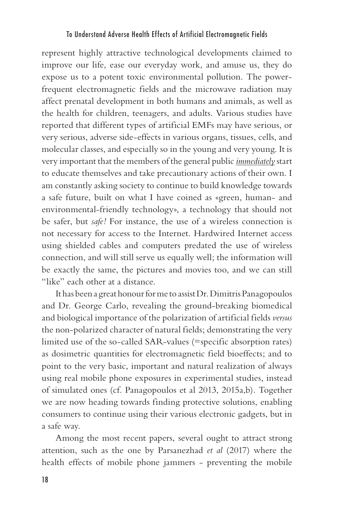represent highly attractive technological developments claimed to improve our life, ease our everyday work, and amuse us, they do expose us to a potent toxic environmental pollution. The powerfrequent electromagnetic fields and the microwave radiation may affect prenatal development in both humans and animals, as well as the health for children, teenagers, and adults. Various studies have reported that different types of artificial EMFs may have serious, or very serious, adverse side-effects in various organs, tissues, cells, and molecular classes, and especially so in the young and very young. It is very important that the members of the general public *immediately* start to educate themselves and take precautionary actions of their own. I am constantly asking society to continue to build knowledge towards a safe future, built on what I have coined as «green, human- and environmental-friendly technology», a technology that should not be safer, but *safe!* For instance, the use of a wireless connection is not necessary for access to the Internet. Hardwired Internet access using shielded cables and computers predated the use of wireless connection, and will still serve us equally well; the information will be exactly the same, the pictures and movies too, and we can still "like" each other at a distance.

It has been a great honour for me to assist Dr. Dimitris Panagopoulos and Dr. George Carlo, revealing the ground-breaking biomedical and biological importance of the polarization of artificial fields *versus* the non-polarized character of natural fields; demonstrating the very limited use of the so-called SAR-values (=specific absorption rates) as dosimetric quantities for electromagnetic field bioeffects; and to point to the very basic, important and natural realization of always using real mobile phone exposures in experimental studies, instead of simulated ones (cf. Panagopoulos et al 2013, 2015a,b). Together we are now heading towards finding protective solutions, enabling consumers to continue using their various electronic gadgets, but in a safe way.

Among the most recent papers, several ought to attract strong attention, such as the one by Parsanezhad *et al* (2017) where the health effects of mobile phone jammers - preventing the mobile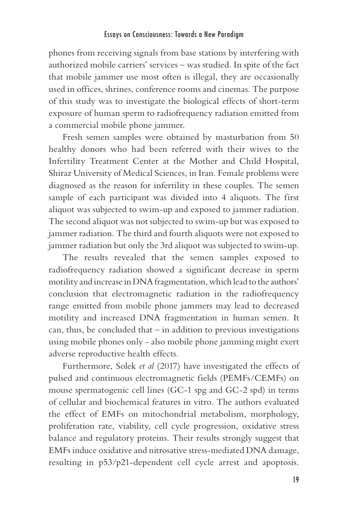phones from receiving signals from base stations by interfering with authorized mobile carriers' services – was studied. In spite of the fact that mobile jammer use most often is illegal, they are occasionally used in offices, shrines, conference rooms and cinemas. The purpose of this study was to investigate the biological effects of short-term exposure of human sperm to radiofrequency radiation emitted from a commercial mobile phone jammer.

Fresh semen samples were obtained by masturbation from 50 healthy donors who had been referred with their wives to the Infertility Treatment Center at the Mother and Child Hospital, Shiraz University of Medical Sciences, in Iran. Female problems were diagnosed as the reason for infertility in these couples. The semen sample of each participant was divided into 4 aliquots. The first aliquot was subjected to swim-up and exposed to jammer radiation. The second aliquot was not subjected to swim-up but was exposed to jammer radiation. The third and fourth aliquots were not exposed to jammer radiation but only the 3rd aliquot was subjected to swim-up.

The results revealed that the semen samples exposed to radiofrequency radiation showed a significant decrease in sperm motility and increase in DNA fragmentation, which lead to the authors' conclusion that electromagnetic radiation in the radiofrequency range emitted from mobile phone jammers may lead to decreased motility and increased DNA fragmentation in human semen. It can, thus, be concluded that  $-$  in addition to previous investigations using mobile phones only - also mobile phone jamming might exert adverse reproductive health effects.

Furthermore, Solek *et al* (2017) have investigated the effects of pulsed and continuous electromagnetic fields (PEMFs/CEMFs) on mouse spermatogenic cell lines (GC-1 spg and GC-2 spd) in terms of cellular and biochemical features in vitro. The authors evaluated the effect of EMFs on mitochondrial metabolism, morphology, proliferation rate, viability, cell cycle progression, oxidative stress balance and regulatory proteins. Their results strongly suggest that EMFs induce oxidative and nitrosative stress-mediated DNA damage, resulting in p53/p21-dependent cell cycle arrest and apoptosis.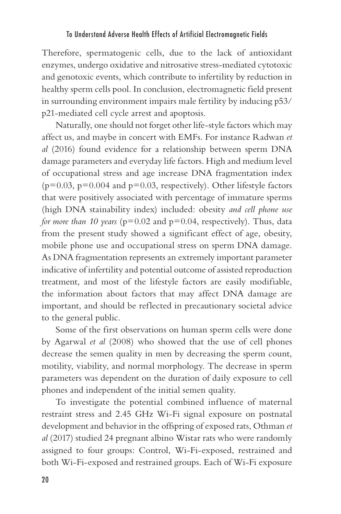Therefore, spermatogenic cells, due to the lack of antioxidant enzymes, undergo oxidative and nitrosative stress-mediated cytotoxic and genotoxic events, which contribute to infertility by reduction in healthy sperm cells pool. In conclusion, electromagnetic field present in surrounding environment impairs male fertility by inducing p53/ p21-mediated cell cycle arrest and apoptosis.

Naturally, one should not forget other life-style factors which may affect us, and maybe in concert with EMFs. For instance Radwan *et al* (2016) found evidence for a relationship between sperm DNA damage parameters and everyday life factors. High and medium level of occupational stress and age increase DNA fragmentation index ( $p=0.03$ ,  $p=0.004$  and  $p=0.03$ , respectively). Other lifestyle factors that were positively associated with percentage of immature sperms (high DNA stainability index) included: obesity *and cell phone use for more than 10 years* ( $p=0.02$  and  $p=0.04$ , respectively). Thus, data from the present study showed a significant effect of age, obesity, mobile phone use and occupational stress on sperm DNA damage. As DNA fragmentation represents an extremely important parameter indicative of infertility and potential outcome of assisted reproduction treatment, and most of the lifestyle factors are easily modifiable, the information about factors that may affect DNA damage are important, and should be reflected in precautionary societal advice to the general public.

Some of the first observations on human sperm cells were done by Agarwal *et al* (2008) who showed that the use of cell phones decrease the semen quality in men by decreasing the sperm count, motility, viability, and normal morphology. The decrease in sperm parameters was dependent on the duration of daily exposure to cell phones and independent of the initial semen quality.

To investigate the potential combined influence of maternal restraint stress and 2.45 GHz Wi-Fi signal exposure on postnatal development and behavior in the offspring of exposed rats, Othman *et al* (2017) studied 24 pregnant albino Wistar rats who were randomly assigned to four groups: Control, Wi-Fi-exposed, restrained and both Wi-Fi-exposed and restrained groups. Each of Wi-Fi exposure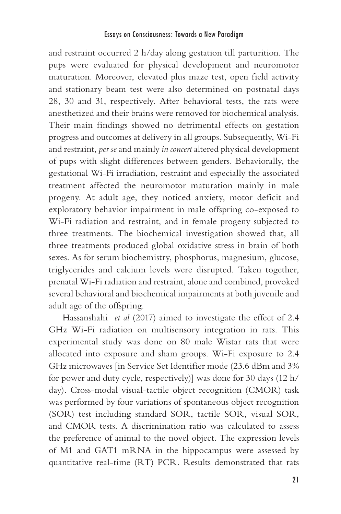and restraint occurred 2 h/day along gestation till parturition. The pups were evaluated for physical development and neuromotor maturation. Moreover, elevated plus maze test, open field activity and stationary beam test were also determined on postnatal days 28, 30 and 31, respectively. After behavioral tests, the rats were anesthetized and their brains were removed for biochemical analysis. Their main findings showed no detrimental effects on gestation progress and outcomes at delivery in all groups. Subsequently, Wi-Fi and restraint, *per se* and mainly *in concert* altered physical development of pups with slight differences between genders. Behaviorally, the gestational Wi-Fi irradiation, restraint and especially the associated treatment affected the neuromotor maturation mainly in male progeny. At adult age, they noticed anxiety, motor deficit and exploratory behavior impairment in male offspring co-exposed to Wi-Fi radiation and restraint, and in female progeny subjected to three treatments. The biochemical investigation showed that, all three treatments produced global oxidative stress in brain of both sexes. As for serum biochemistry, phosphorus, magnesium, glucose, triglycerides and calcium levels were disrupted. Taken together, prenatal Wi-Fi radiation and restraint, alone and combined, provoked several behavioral and biochemical impairments at both juvenile and adult age of the offspring.

Hassanshahi *et al* (2017) aimed to investigate the effect of 2.4 GHz Wi-Fi radiation on multisensory integration in rats. This experimental study was done on 80 male Wistar rats that were allocated into exposure and sham groups. Wi-Fi exposure to 2.4 GHz microwaves [in Service Set Identifier mode (23.6 dBm and 3% for power and duty cycle, respectively)] was done for 30 days (12 h/ day). Cross-modal visual-tactile object recognition (CMOR) task was performed by four variations of spontaneous object recognition (SOR) test including standard SOR, tactile SOR, visual SOR, and CMOR tests. A discrimination ratio was calculated to assess the preference of animal to the novel object. The expression levels of M1 and GAT1 mRNA in the hippocampus were assessed by quantitative real-time (RT) PCR. Results demonstrated that rats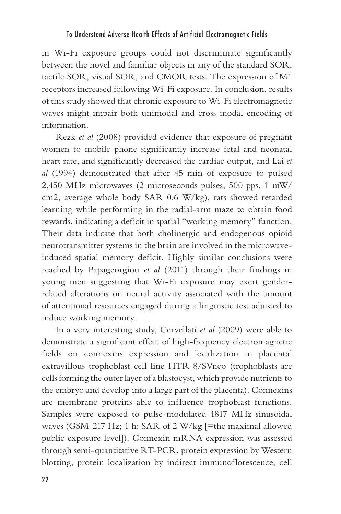in Wi-Fi exposure groups could not discriminate significantly between the novel and familiar objects in any of the standard SOR, tactile SOR, visual SOR, and CMOR tests. The expression of M1 receptors increased following Wi-Fi exposure. In conclusion, results of this study showed that chronic exposure to Wi-Fi electromagnetic waves might impair both unimodal and cross-modal encoding of information.

Rezk *et al* (2008) provided evidence that exposure of pregnant women to mobile phone significantly increase fetal and neonatal heart rate, and significantly decreased the cardiac output, and Lai *et al* (1994) demonstrated that after 45 min of exposure to pulsed 2,450 MHz microwaves (2 microseconds pulses, 500 pps, 1 mW/ cm2, average whole body SAR 0.6 W/kg), rats showed retarded learning while performing in the radial-arm maze to obtain food rewards, indicating a deficit in spatial "working memory" function. Their data indicate that both cholinergic and endogenous opioid neurotransmitter systems in the brain are involved in the microwaveinduced spatial memory deficit. Highly similar conclusions were reached by Papageorgiou *et al* (2011) through their findings in young men suggesting that Wi-Fi exposure may exert genderrelated alterations on neural activity associated with the amount of attentional resources engaged during a linguistic test adjusted to induce working memory.

In a very interesting study, Cervellati *et al* (2009) were able to demonstrate a significant effect of high-frequency electromagnetic fields on connexins expression and localization in placental extravillous trophoblast cell line HTR-8/SVneo (trophoblasts are cells forming the outer layer of a blastocyst, which provide nutrients to the embryo and develop into a large part of the placenta). Connexins are membrane proteins able to influence trophoblast functions. Samples were exposed to pulse-modulated 1817 MHz sinusoidal waves (GSM-217 Hz; 1 h: SAR of 2 W/kg [=the maximal allowed public exposure level]). Connexin mRNA expression was assessed through semi-quantitative RT-PCR, protein expression by Western blotting, protein localization by indirect immunoflorescence, cell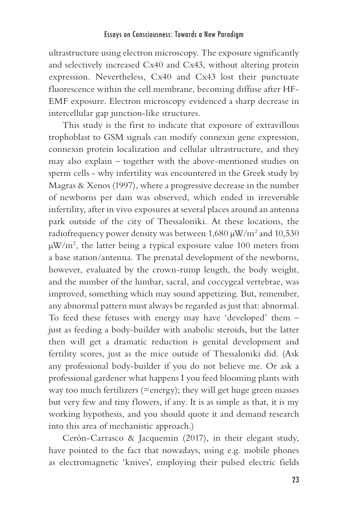ultrastructure using electron microscopy. The exposure significantly and selectively increased Cx40 and Cx43, without altering protein expression. Nevertheless, Cx40 and Cx43 lost their punctuate fluorescence within the cell membrane, becoming diffuse after HF-EMF exposure. Electron microscopy evidenced a sharp decrease in intercellular gap junction-like structures.

This study is the first to indicate that exposure of extravillous trophoblast to GSM signals can modify connexin gene expression, connexin protein localization and cellular ultrastructure, and they may also explain – together with the above-mentioned studies on sperm cells - why infertility was encountered in the Greek study by Magras & Xenos (1997), where a progressive decrease in the number of newborns per dam was observed, which ended in irreversible infertility, after in vivo exposures at several places around an antenna park outside of the city of Thessaloniki. At these locations, the radiofrequency power density was between  $1,680 \,\mathrm{\upmu W/m^2}$  and  $10,530$ µW/m2 , the latter being a typical exposure value 100 meters from a base station/antenna. The prenatal development of the newborns, however, evaluated by the crown-rump length, the body weight, and the number of the lumbar, sacral, and coccygeal vertebrae, was improved, something which may sound appetizing. But, remember, any abnormal pattern must always be regarded as just that: abnormal. To feed these fetuses with energy may have 'developed' them – just as feeding a body-builder with anabolic steroids, but the latter then will get a dramatic reduction is genital development and fertility scores, just as the mice outside of Thessaloniki did. (Ask any professional body-builder if you do not believe me. Or ask a professional gardener what happens I you feed blooming plants with way too much fertilizers (=energy); they will get huge green masses but very few and tiny flowers, if any. It is as simple as that, it is my working hypothesis, and you should quote it and demand research into this area of mechanistic approach.)

Cerón-Carrasco & Jacquemin (2017), in their elegant study, have pointed to the fact that nowadays, using e.g. mobile phones as electromagnetic 'knives', employing their pulsed electric fields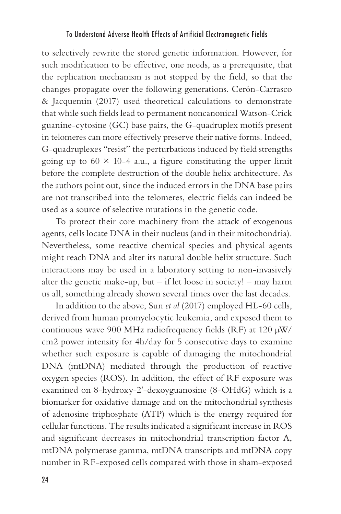to selectively rewrite the stored genetic information. However, for such modification to be effective, one needs, as a prerequisite, that the replication mechanism is not stopped by the field, so that the changes propagate over the following generations. Cerón-Carrasco & Jacquemin (2017) used theoretical calculations to demonstrate that while such fields lead to permanent noncanonical Watson-Crick guanine-cytosine (GC) base pairs, the G-quadruplex motifs present in telomeres can more effectively preserve their native forms. Indeed, G-quadruplexes "resist" the perturbations induced by field strengths going up to  $60 \times 10$ -4 a.u., a figure constituting the upper limit before the complete destruction of the double helix architecture. As the authors point out, since the induced errors in the DNA base pairs are not transcribed into the telomeres, electric fields can indeed be used as a source of selective mutations in the genetic code.

To protect their core machinery from the attack of exogenous agents, cells locate DNA in their nucleus (and in their mitochondria). Nevertheless, some reactive chemical species and physical agents might reach DNA and alter its natural double helix structure. Such interactions may be used in a laboratory setting to non-invasively alter the genetic make-up, but  $-$  if let loose in society!  $-$  may harm us all, something already shown several times over the last decades.

In addition to the above, Sun *et al* (2017) employed HL-60 cells, derived from human promyelocytic leukemia, and exposed them to continuous wave 900 MHz radiofrequency fields (RF) at 120  $\mu$ W/ cm2 power intensity for 4h/day for 5 consecutive days to examine whether such exposure is capable of damaging the mitochondrial DNA (mtDNA) mediated through the production of reactive oxygen species (ROS). In addition, the effect of RF exposure was examined on 8-hydroxy-2'-dexoyguanosine (8-OHdG) which is a biomarker for oxidative damage and on the mitochondrial synthesis of adenosine triphosphate (ATP) which is the energy required for cellular functions. The results indicated a significant increase in ROS and significant decreases in mitochondrial transcription factor A, mtDNA polymerase gamma, mtDNA transcripts and mtDNA copy number in RF-exposed cells compared with those in sham-exposed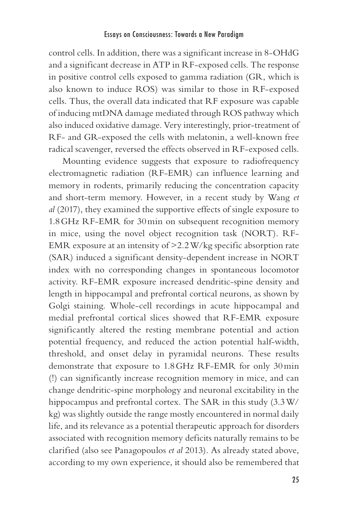control cells. In addition, there was a significant increase in 8-OHdG and a significant decrease in ATP in RF-exposed cells. The response in positive control cells exposed to gamma radiation (GR, which is also known to induce ROS) was similar to those in RF-exposed cells. Thus, the overall data indicated that RF exposure was capable of inducing mtDNA damage mediated through ROS pathway which also induced oxidative damage. Very interestingly, prior-treatment of RF- and GR-exposed the cells with melatonin, a well-known free radical scavenger, reversed the effects observed in RF-exposed cells.

Mounting evidence suggests that exposure to radiofrequency electromagnetic radiation (RF-EMR) can influence learning and memory in rodents, primarily reducing the concentration capacity and short-term memory. However, in a recent study by Wang *et al* (2017), they examined the supportive effects of single exposure to 1.8GHz RF-EMR for 30min on subsequent recognition memory in mice, using the novel object recognition task (NORT). RF-EMR exposure at an intensity of >2.2W/kg specific absorption rate (SAR) induced a significant density-dependent increase in NORT index with no corresponding changes in spontaneous locomotor activity. RF-EMR exposure increased dendritic-spine density and length in hippocampal and prefrontal cortical neurons, as shown by Golgi staining. Whole-cell recordings in acute hippocampal and medial prefrontal cortical slices showed that RF-EMR exposure significantly altered the resting membrane potential and action potential frequency, and reduced the action potential half-width, threshold, and onset delay in pyramidal neurons. These results demonstrate that exposure to 1.8GHz RF-EMR for only 30min (!) can significantly increase recognition memory in mice, and can change dendritic-spine morphology and neuronal excitability in the hippocampus and prefrontal cortex. The SAR in this study  $(3.3 W/$ kg) was slightly outside the range mostly encountered in normal daily life, and its relevance as a potential therapeutic approach for disorders associated with recognition memory deficits naturally remains to be clarified (also see Panagopoulos *et al* 2013). As already stated above, according to my own experience, it should also be remembered that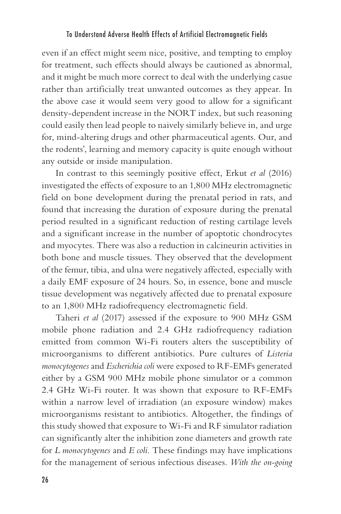even if an effect might seem nice, positive, and tempting to employ for treatment, such effects should always be cautioned as abnormal, and it might be much more correct to deal with the underlying casue rather than artificially treat unwanted outcomes as they appear. In the above case it would seem very good to allow for a significant density-dependent increase in the NORT index, but such reasoning could easily then lead people to naively similarly believe in, and urge for, mind-altering drugs and other pharmaceutical agents. Our, and the rodents', learning and memory capacity is quite enough without any outside or inside manipulation.

In contrast to this seemingly positive effect, Erkut *et al* (2016) investigated the effects of exposure to an 1,800 MHz electromagnetic field on bone development during the prenatal period in rats, and found that increasing the duration of exposure during the prenatal period resulted in a significant reduction of resting cartilage levels and a significant increase in the number of apoptotic chondrocytes and myocytes. There was also a reduction in calcineurin activities in both bone and muscle tissues. They observed that the development of the femur, tibia, and ulna were negatively affected, especially with a daily EMF exposure of 24 hours. So, in essence, bone and muscle tissue development was negatively affected due to prenatal exposure to an 1,800 MHz radiofrequency electromagnetic field.

Taheri *et al* (2017) assessed if the exposure to 900 MHz GSM mobile phone radiation and 2.4 GHz radiofrequency radiation emitted from common Wi-Fi routers alters the susceptibility of microorganisms to different antibiotics. Pure cultures of *Listeria monocytogenes* and *Escherichia coli* were exposed to RF-EMFs generated either by a GSM 900 MHz mobile phone simulator or a common 2.4 GHz Wi-Fi router. It was shown that exposure to RF-EMFs within a narrow level of irradiation (an exposure window) makes microorganisms resistant to antibiotics. Altogether, the findings of this study showed that exposure to Wi-Fi and RF simulator radiation can significantly alter the inhibition zone diameters and growth rate for *L monocytogenes* and *E coli.* These findings may have implications for the management of serious infectious diseases. *With the on-going*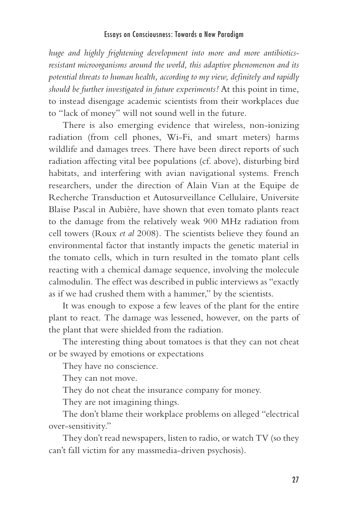*huge and highly frightening development into more and more antibioticsresistant microorganisms around the world, this adaptive phenomenon and its potential threats to human health, according to my view, definitely and rapidly should be further investigated in future experiments!* At this point in time, to instead disengage academic scientists from their workplaces due to "lack of money" will not sound well in the future.

There is also emerging evidence that wireless, non-ionizing radiation (from cell phones, Wi-Fi, and smart meters) harms wildlife and damages trees. There have been direct reports of such radiation affecting vital bee populations (cf. above), disturbing bird habitats, and interfering with avian navigational systems. French researchers, under the direction of Alain Vian at the Equipe de Recherche Transduction et Autosurveillance Cellulaire, Universite Blaise Pascal in Aubière, have shown that even tomato plants react to the damage from the relatively weak 900 MHz radiation from cell towers (Roux *et al* 2008). The scientists believe they found an environmental factor that instantly impacts the genetic material in the tomato cells, which in turn resulted in the tomato plant cells reacting with a chemical damage sequence, involving the molecule calmodulin. The effect was described in public interviews as "exactly as if we had crushed them with a hammer," by the scientists.

It was enough to expose a few leaves of the plant for the entire plant to react. The damage was lessened, however, on the parts of the plant that were shielded from the radiation.

The interesting thing about tomatoes is that they can not cheat or be swayed by emotions or expectations

They have no conscience.

They can not move.

They do not cheat the insurance company for money.

They are not imagining things.

The don't blame their workplace problems on alleged "electrical over-sensitivity."

They don't read newspapers, listen to radio, or watch TV (so they can't fall victim for any massmedia-driven psychosis).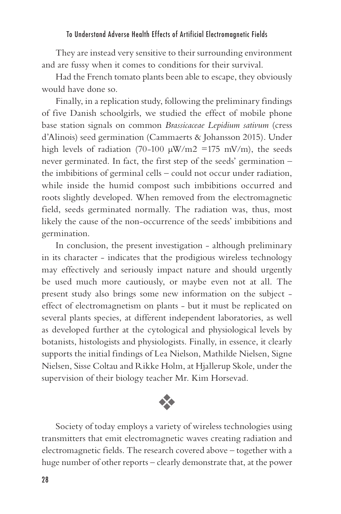They are instead very sensitive to their surrounding environment and are fussy when it comes to conditions for their survival.

Had the French tomato plants been able to escape, they obviously would have done so.

Finally, in a replication study, following the preliminary findings of five Danish schoolgirls, we studied the effect of mobile phone base station signals on common *Brassicaceae Lepidium sativum* (cress d'Alinois) seed germination (Cammaerts & Johansson 2015). Under high levels of radiation (70-100  $\mu$ W/m2 =175 mV/m), the seeds never germinated. In fact, the first step of the seeds' germination – the imbibitions of germinal cells – could not occur under radiation, while inside the humid compost such imbibitions occurred and roots slightly developed. When removed from the electromagnetic field, seeds germinated normally. The radiation was, thus, most likely the cause of the non-occurrence of the seeds' imbibitions and germination.

In conclusion, the present investigation - although preliminary in its character - indicates that the prodigious wireless technology may effectively and seriously impact nature and should urgently be used much more cautiously, or maybe even not at all. The present study also brings some new information on the subject effect of electromagnetism on plants - but it must be replicated on several plants species, at different independent laboratories, as well as developed further at the cytological and physiological levels by botanists, histologists and physiologists. Finally, in essence, it clearly supports the initial findings of Lea Nielson, Mathilde Nielsen, Signe Nielsen, Sisse Coltau and Rikke Holm, at Hjallerup Skole, under the supervision of their biology teacher Mr. Kim Horsevad.



Society of today employs a variety of wireless technologies using transmitters that emit electromagnetic waves creating radiation and electromagnetic fields. The research covered above – together with a huge number of other reports – clearly demonstrate that, at the power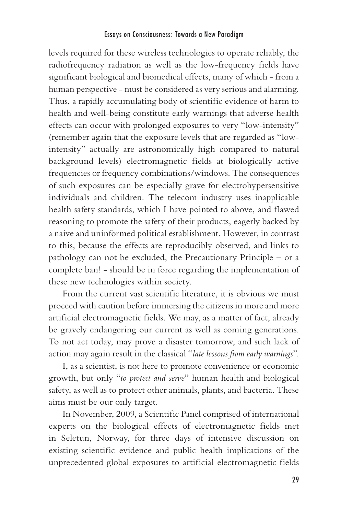levels required for these wireless technologies to operate reliably, the radiofrequency radiation as well as the low-frequency fields have significant biological and biomedical effects, many of which - from a human perspective - must be considered as very serious and alarming. Thus, a rapidly accumulating body of scientific evidence of harm to health and well-being constitute early warnings that adverse health effects can occur with prolonged exposures to very "low-intensity" (remember again that the exposure levels that are regarded as "lowintensity" actually are astronomically high compared to natural background levels) electromagnetic fields at biologically active frequencies or frequency combinations/windows. The consequences of such exposures can be especially grave for electrohypersensitive individuals and children. The telecom industry uses inapplicable health safety standards, which I have pointed to above, and flawed reasoning to promote the safety of their products, eagerly backed by a naive and uninformed political establishment. However, in contrast to this, because the effects are reproducibly observed, and links to pathology can not be excluded, the Precautionary Principle – or a complete ban! - should be in force regarding the implementation of these new technologies within society.

From the current vast scientific literature, it is obvious we must proceed with caution before immersing the citizens in more and more artificial electromagnetic fields. We may, as a matter of fact, already be gravely endangering our current as well as coming generations. To not act today, may prove a disaster tomorrow, and such lack of action may again result in the classical "*late lessons from early warnings*".

I, as a scientist, is not here to promote convenience or economic growth, but only "*to protect and serve*" human health and biological safety, as well as to protect other animals, plants, and bacteria. These aims must be our only target.

In November, 2009, a Scientific Panel comprised of international experts on the biological effects of electromagnetic fields met in Seletun, Norway, for three days of intensive discussion on existing scientific evidence and public health implications of the unprecedented global exposures to artificial electromagnetic fields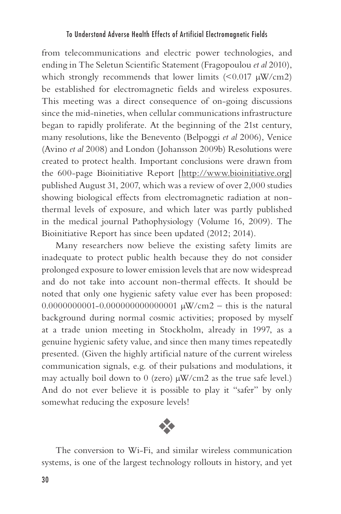from telecommunications and electric power technologies, and ending in The Seletun Scientific Statement (Fragopoulou *et al* 2010), which strongly recommends that lower limits  $\leq 0.017 \mu W/cm2$ ) be established for electromagnetic fields and wireless exposures. This meeting was a direct consequence of on-going discussions since the mid-nineties, when cellular communications infrastructure began to rapidly proliferate. At the beginning of the 21st century, many resolutions, like the Benevento (Belpoggi *et al* 2006), Venice (Avino *et al* 2008) and London (Johansson 2009b) Resolutions were created to protect health. Important conclusions were drawn from the 600-page Bioinitiative Report [http://www.bioinitiative.org] published August 31, 2007, which was a review of over 2,000 studies showing biological effects from electromagnetic radiation at nonthermal levels of exposure, and which later was partly published in the medical journal Pathophysiology (Volume 16, 2009). The Bioinitiative Report has since been updated (2012; 2014).

Many researchers now believe the existing safety limits are inadequate to protect public health because they do not consider prolonged exposure to lower emission levels that are now widespread and do not take into account non-thermal effects. It should be noted that only one hygienic safety value ever has been proposed: 0.0000000001-0.000000000000001 µW/cm2 – this is the natural background during normal cosmic activities; proposed by myself at a trade union meeting in Stockholm, already in 1997, as a genuine hygienic safety value, and since then many times repeatedly presented. (Given the highly artificial nature of the current wireless communication signals, e.g. of their pulsations and modulations, it may actually boil down to  $0$  (zero)  $\mu$ W/cm2 as the true safe level.) And do not ever believe it is possible to play it "safer" by only somewhat reducing the exposure levels!



The conversion to Wi-Fi, and similar wireless communication systems, is one of the largest technology rollouts in history, and yet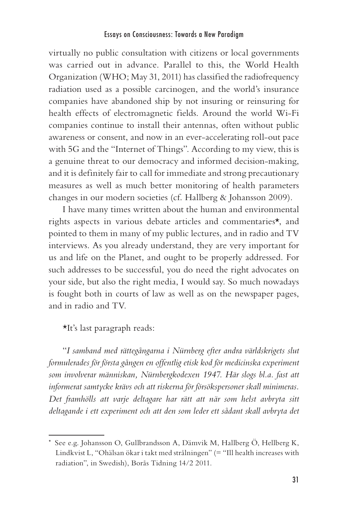virtually no public consultation with citizens or local governments was carried out in advance. Parallel to this, the World Health Organization (WHO; May 31, 2011) has classified the radiofrequency radiation used as a possible carcinogen, and the world's insurance companies have abandoned ship by not insuring or reinsuring for health effects of electromagnetic fields. Around the world Wi-Fi companies continue to install their antennas, often without public awareness or consent, and now in an ever-accelerating roll-out pace with 5G and the "Internet of Things". According to my view, this is a genuine threat to our democracy and informed decision-making, and it is definitely fair to call for immediate and strong precautionary measures as well as much better monitoring of health parameters changes in our modern societies (cf. Hallberg & Johansson 2009).

I have many times written about the human and environmental rights aspects in various debate articles and commentaries\*, and pointed to them in many of my public lectures, and in radio and TV interviews. As you already understand, they are very important for us and life on the Planet, and ought to be properly addressed. For such addresses to be successful, you do need the right advocates on your side, but also the right media, I would say. So much nowadays is fought both in courts of law as well as on the newspaper pages, and in radio and TV.

\*It's last paragraph reads:

"*I samband med rättegångarna i Nürnberg efter andra världskrigets slut formulerades för första gången en offentlig etisk kod för medicinska experiment som involverar människan, Nürnbergkodexen 1947. Här slogs bl.a. fast att informerat samtycke krävs och att riskerna för försökspersoner skall minimeras. Det framhölls att varje deltagare har rätt att när som helst avbryta sitt deltagande i ett experiment och att den som leder ett sådant skall avbryta det* 

<sup>\*</sup> See e.g. Johansson O, Gullbrandsson A, Dämvik M, Hallberg Ö, Hellberg K, Lindkvist L, "Ohälsan ökar i takt med strålningen" (= "Ill health increases with radiation", in Swedish), Borås Tidning 14/2 2011.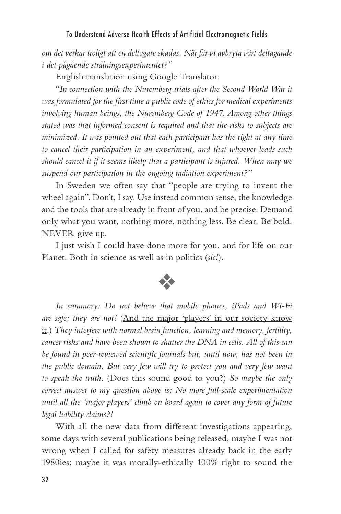*om det verkar troligt att en deltagare skadas. När får vi avbryta vårt deltagande i det pågående strålningsexperimentet?*"

English translation using Google Translator:

"*In connection with the Nuremberg trials after the Second World War it was formulated for the first time a public code of ethics for medical experiments involving human beings, the Nuremberg Code of 1947. Among other things stated was that informed consent is required and that the risks to subjects are minimized. It was pointed out that each participant has the right at any time to cancel their participation in an experiment, and that whoever leads such should cancel it if it seems likely that a participant is injured. When may we suspend our participation in the ongoing radiation experiment?*"

In Sweden we often say that "people are trying to invent the wheel again". Don't, I say. Use instead common sense, the knowledge and the tools that are already in front of you, and be precise. Demand only what you want, nothing more, nothing less. Be clear. Be bold. NEVER give up.

I just wish I could have done more for you, and for life on our Planet. Both in science as well as in politics (*sic!*).



*In summary: Do not believe that mobile phones, iPads and Wi-Fi are safe; they are not!* (And the major 'players' in our society know it.) *They interfere with normal brain function, learning and memory, fertility, cancer risks and have been shown to shatter the DNA in cells. All of this can be found in peer-reviewed scientific journals but, until now, has not been in the public domain. But very few will try to protect you and very few want to speak the truth.* (Does this sound good to you?) *So maybe the only correct answer to my question above is: No more full-scale experimentation until all the 'major players' climb on board again to cover any form of future legal liability claims?!*

With all the new data from different investigations appearing, some days with several publications being released, maybe I was not wrong when I called for safety measures already back in the early 1980ies; maybe it was morally-ethically 100% right to sound the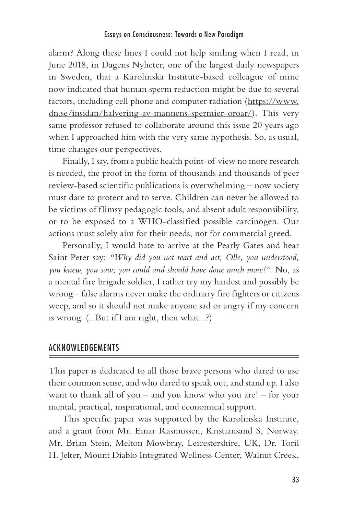alarm? Along these lines I could not help smiling when I read, in June 2018, in Dagens Nyheter, one of the largest daily newspapers in Sweden, that a Karolinska Institute-based colleague of mine now indicated that human sperm reduction might be due to several factors, including cell phone and computer radiation (https://www. dn.se/insidan/halvering-av-mannens-spermier-oroar/). This very same professor refused to collaborate around this issue 20 years ago when I approached him with the very same hypothesis. So, as usual, time changes our perspectives.

Finally, I say, from a public health point-of-view no more research is needed, the proof in the form of thousands and thousands of peer review-based scientific publications is overwhelming – now society must dare to protect and to serve. Children can never be allowed to be victims of flimsy pedagogic tools, and absent adult responsibility, or to be exposed to a WHO-classified possible carcinogen. Our actions must solely aim for their needs, not for commercial greed.

Personally, I would hate to arrive at the Pearly Gates and hear Saint Peter say: *"Why did you not react and act, Olle, you understood, you knew, you saw; you could and should have done much more!".* No, as a mental fire brigade soldier, I rather try my hardest and possibly be wrong – false alarms never make the ordinary fire fighters or citizens weep, and so it should not make anyone sad or angry if my concern is wrong. (...But if I am right, then what...?)

# ACKNOWLEDGEMENTS

This paper is dedicated to all those brave persons who dared to use their common sense, and who dared to speak out, and stand up. I also want to thank all of you – and you know who you are! – for your mental, practical, inspirational, and economical support.

This specific paper was supported by the Karolinska Institute, and a grant from Mr. Einar Rasmussen, Kristiansand S, Norway. Mr. Brian Stein, Melton Mowbray, Leicestershire, UK, Dr. Toril H. Jelter, Mount Diablo Integrated Wellness Center, Walnut Creek,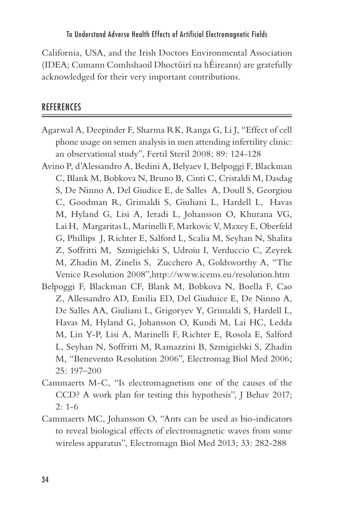California, USA, and the Irish Doctors Environmental Association (IDEA; Cumann Comhshaoil Dhoctúirí na hÉireann) are gratefully acknowledged for their very important contributions.

# REFERENCES

- Agarwal A, Deepinder F, Sharma RK, Ranga G, Li J, "Effect of cell phone usage on semen analysis in men attending infertility clinic: an observational study", Fertil Steril 2008; 89: 124-128
- Avino P, d'Alessandro A, Bedini A, Belyaev I, Belpoggi F, Blackman C, Blank M, Bobkova N, Bruno B, Cinti C, Cristaldi M, Dasdag S, De Ninno A, Del Giudice E, de Salles A, Doull S, Georgiou C, Goodman R, Grimaldi S, Giuliani L, Hardell L, Havas M, Hyland G, Lisi A, Ieradi L, Johansson O, Khurana VG, Lai H, Margaritas L, Marinelli F, Markovic V, Maxey E, Oberfeld G, Phillips J, Richter E, Salford L, Scalia M, Seyhan N, Shalita Z, Soffritti M, Szmigielski S, Udroiu I, Verduccio C, Zeyrek M, Zhadin M, Zinelis S, Zucchero A, Goldsworthy A, "The Venice Resolution 2008",http://www.icems.eu/resolution.htm Belpoggi F, Blackman CF, Blank M, Bobkova N, Boella F, Cao Z, Allessandro AD, Emilia ED, Del Giuduice E, De Ninno A, De Salles AA, Giuliani L, Grigoryev Y, Grimaldi S, Hardell L, Havas M, Hyland G, Johansson O, Kundi M, Lai HC, Ledda M, Lin Y-P, Lisi A, Marinelli F, Richter E, Rosola E, Salford L, Seyhan N, Soffritti M, Ramazzini B, Szmigielski S, Zhadin M, "Benevento Resolution 2006", Electromag Biol Med 2006; 25: 197–200
- Cammaerts M-C, "Is electromagnetism one of the causes of the CCD? A work plan for testing this hypothesis", J Behav 2017;  $2: 1-6$
- Cammaerts MC, Johansson O, "Ants can be used as bio-indicators to reveal biological effects of electromagnetic waves from some wireless apparatus", Electromagn Biol Med 2013; 33: 282-288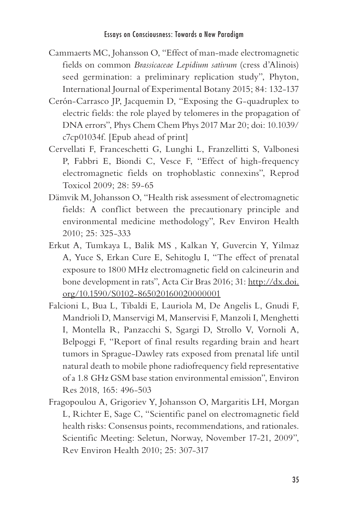- Cammaerts MC, Johansson O, "Effect of man-made electromagnetic fields on common *Brassicaceae Lepidium sativum* (cress d'Alinois) seed germination: a preliminary replication study", Phyton, International Journal of Experimental Botany 2015; 84: 132-137
- Cerón-Carrasco JP, Jacquemin D, "Exposing the G-quadruplex to electric fields: the role played by telomeres in the propagation of DNA errors", Phys Chem Chem Phys 2017 Mar 20; doi: 10.1039/ c7cp01034f. [Epub ahead of print]
- Cervellati F, Franceschetti G, Lunghi L, Franzellitti S, Valbonesi P, Fabbri E, Biondi C, Vesce F, "Effect of high-frequency electromagnetic fields on trophoblastic connexins", Reprod Toxicol 2009; 28: 59-65
- Dämvik M, Johansson O, "Health risk assessment of electromagnetic fields: A conflict between the precautionary principle and environmental medicine methodology", Rev Environ Health 2010; 25: 325-333
- Erkut A, Tumkaya L, Balik MS , Kalkan Y, Guvercin Y, Yilmaz A, Yuce S, Erkan Cure E, Sehitoglu I, "The effect of prenatal exposure to 1800 MHz electromagnetic field on calcineurin and bone development in rats", Acta Cir Bras 2016; 31: http://dx.doi. org/10.1590/S0102-865020160020000001
- Falcioni L, Bua L, Tibaldi E, Lauriola M, De Angelis L, Gnudi F, Mandrioli D, Manservigi M, Manservisi F, Manzoli I, Menghetti I, Montella R, Panzacchi S, Sgargi D, Strollo V, Vornoli A, Belpoggi F, "Report of final results regarding brain and heart tumors in Sprague-Dawley rats exposed from prenatal life until natural death to mobile phone radiofrequency field representative of a 1.8 GHz GSM base station environmental emission", Environ Res 2018, 165: 496-503
- Fragopoulou A, Grigoriev Y, Johansson O, Margaritis LH, Morgan L, Richter E, Sage C, "Scientific panel on electromagnetic field health risks: Consensus points, recommendations, and rationales. Scientific Meeting: Seletun, Norway, November 17-21, 2009", Rev Environ Health 2010; 25: 307-317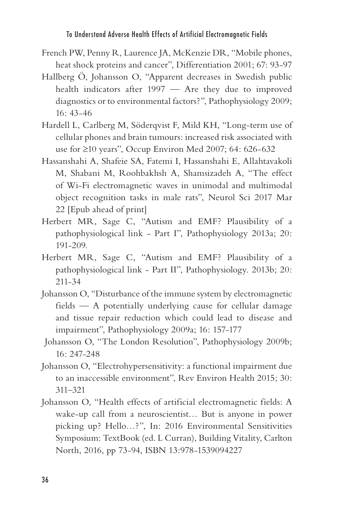- French PW, Penny R, Laurence JA, McKenzie DR, "Mobile phones, heat shock proteins and cancer", Differentiation 2001; 67: 93-97
- Hallberg Ö, Johansson O, "Apparent decreases in Swedish public health indicators after 1997 — Are they due to improved diagnostics or to environmental factors?", Pathophysiology 2009;  $16: 43-46$
- Hardell L, Carlberg M, Söderqvist F, Mild KH, "Long-term use of cellular phones and brain tumours: increased risk associated with use for ≥10 years", Occup Environ Med 2007; 64: 626-632
- Hassanshahi A, Shafeie SA, Fatemi I, Hassanshahi E, Allahtavakoli M, Shabani M, Roohbakhsh A, Shamsizadeh A, "The effect of Wi-Fi electromagnetic waves in unimodal and multimodal object recognition tasks in male rats", Neurol Sci 2017 Mar 22 [Epub ahead of print]
- Herbert MR, Sage C, "Autism and EMF? Plausibility of a pathophysiological link - Part I", Pathophysiology 2013a; 20: 191-209.
- Herbert MR, Sage C, "Autism and EMF? Plausibility of a pathophysiological link - Part II", Pathophysiology. 2013b; 20: 211-34
- Johansson O, "Disturbance of the immune system by electromagnetic fields — A potentially underlying cause for cellular damage and tissue repair reduction which could lead to disease and impairment", Pathophysiology 2009a; 16: 157-177
- Johansson O, "The London Resolution", Pathophysiology 2009b; 16: 247-248
- Johansson O, "Electrohypersensitivity: a functional impairment due to an inaccessible environment", Rev Environ Health 2015; 30: 311–321
- Johansson O, "Health effects of artificial electromagnetic fields: A wake-up call from a neuroscientist… But is anyone in power picking up? Hello…?", In: 2016 Environmental Sensitivities Symposium: TextBook (ed. L Curran), Building Vitality, Carlton North, 2016, pp 73-94, ISBN 13:978-1539094227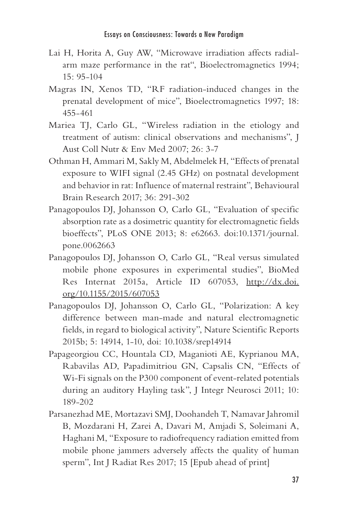- Lai H, Horita A, Guy AW, "Microwave irradiation affects radialarm maze performance in the rat", Bioelectromagnetics 1994; 15: 95-104
- Magras IN, Xenos TD, "RF radiation-induced changes in the prenatal development of mice", Bioelectromagnetics 1997; 18: 455-461
- Mariea TJ, Carlo GL, "Wireless radiation in the etiology and treatment of autism: clinical observations and mechanisms", J Aust Coll Nutr & Env Med 2007; 26: 3-7
- Othman H, Ammari M, Sakly M, Abdelmelek H, "Effects of prenatal exposure to WIFI signal (2.45 GHz) on postnatal development and behavior in rat: Influence of maternal restraint", Behavioural Brain Research 2017; 36: 291-302
- Panagopoulos DJ, Johansson O, Carlo GL, "Evaluation of specific absorption rate as a dosimetric quantity for electromagnetic fields bioeffects", PLoS ONE 2013; 8: e62663. doi:10.1371/journal. pone.0062663
- Panagopoulos DJ, Johansson O, Carlo GL, "Real versus simulated mobile phone exposures in experimental studies", BioMed Res Internat 2015a, Article ID 607053, http://dx.doi. org/10.1155/2015/607053
- Panagopoulos DJ, Johansson O, Carlo GL, "Polarization: A key difference between man-made and natural electromagnetic fields, in regard to biological activity", Nature Scientific Reports 2015b; 5: 14914, 1-10, doi: 10.1038/srep14914
- Papageorgiou CC, Hountala CD, Maganioti AE, Kyprianou MA, Rabavilas AD, Papadimitriou GN, Capsalis CN, "Effects of Wi-Fi signals on the P300 component of event-related potentials during an auditory Hayling task", J Integr Neurosci 2011; 10: 189-202
- Parsanezhad ME, Mortazavi SMJ, Doohandeh T, Namavar Jahromil B, Mozdarani H, Zarei A, Davari M, Amjadi S, Soleimani A, Haghani M, "Exposure to radiofrequency radiation emitted from mobile phone jammers adversely affects the quality of human sperm", Int J Radiat Res 2017; 15 [Epub ahead of print]